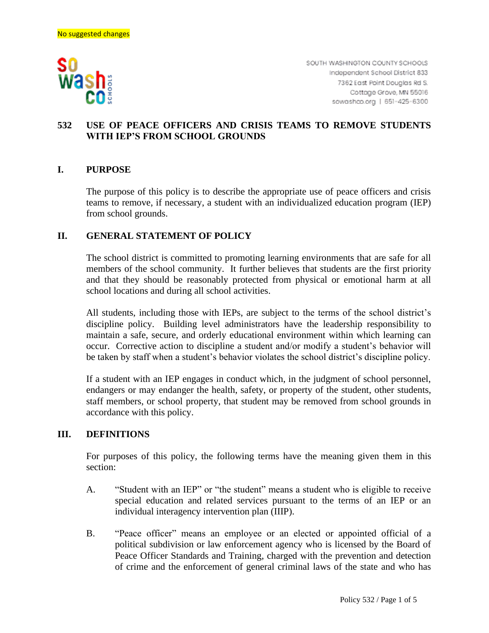

SOUTH WASHINGTON COUNTY SCHOOLS Independent School District 833 7362 East Point Douglas Rd S. Cottage Grove, MN 55016 sowashco.org | 651-425-6300

# **532 USE OF PEACE OFFICERS AND CRISIS TEAMS TO REMOVE STUDENTS WITH IEP'S FROM SCHOOL GROUNDS**

## **I. PURPOSE**

The purpose of this policy is to describe the appropriate use of peace officers and crisis teams to remove, if necessary, a student with an individualized education program (IEP) from school grounds.

### **II. GENERAL STATEMENT OF POLICY**

The school district is committed to promoting learning environments that are safe for all members of the school community. It further believes that students are the first priority and that they should be reasonably protected from physical or emotional harm at all school locations and during all school activities.

All students, including those with IEPs, are subject to the terms of the school district's discipline policy. Building level administrators have the leadership responsibility to maintain a safe, secure, and orderly educational environment within which learning can occur. Corrective action to discipline a student and/or modify a student's behavior will be taken by staff when a student's behavior violates the school district's discipline policy.

If a student with an IEP engages in conduct which, in the judgment of school personnel, endangers or may endanger the health, safety, or property of the student, other students, staff members, or school property, that student may be removed from school grounds in accordance with this policy.

### **III. DEFINITIONS**

For purposes of this policy, the following terms have the meaning given them in this section:

- A. "Student with an IEP" or "the student" means a student who is eligible to receive special education and related services pursuant to the terms of an IEP or an individual interagency intervention plan (IIIP).
- B. "Peace officer" means an employee or an elected or appointed official of a political subdivision or law enforcement agency who is licensed by the Board of Peace Officer Standards and Training, charged with the prevention and detection of crime and the enforcement of general criminal laws of the state and who has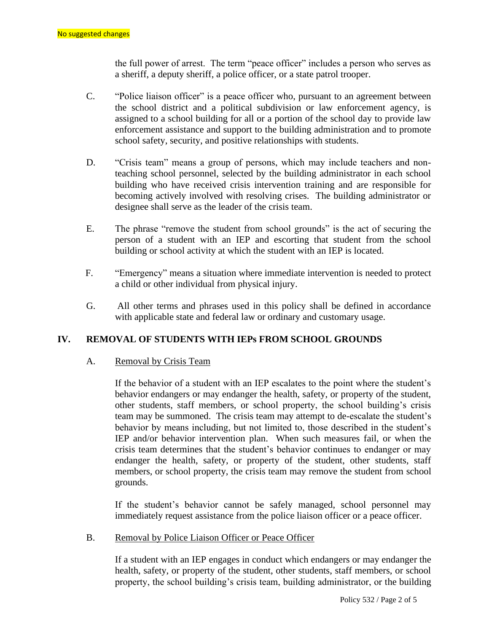the full power of arrest. The term "peace officer" includes a person who serves as a sheriff, a deputy sheriff, a police officer, or a state patrol trooper.

- C. "Police liaison officer" is a peace officer who, pursuant to an agreement between the school district and a political subdivision or law enforcement agency, is assigned to a school building for all or a portion of the school day to provide law enforcement assistance and support to the building administration and to promote school safety, security, and positive relationships with students.
- D. "Crisis team" means a group of persons, which may include teachers and nonteaching school personnel, selected by the building administrator in each school building who have received crisis intervention training and are responsible for becoming actively involved with resolving crises. The building administrator or designee shall serve as the leader of the crisis team.
- E. The phrase "remove the student from school grounds" is the act of securing the person of a student with an IEP and escorting that student from the school building or school activity at which the student with an IEP is located.
- F. "Emergency" means a situation where immediate intervention is needed to protect a child or other individual from physical injury.
- G. All other terms and phrases used in this policy shall be defined in accordance with applicable state and federal law or ordinary and customary usage.

# **IV. REMOVAL OF STUDENTS WITH IEPs FROM SCHOOL GROUNDS**

### A. Removal by Crisis Team

If the behavior of a student with an IEP escalates to the point where the student's behavior endangers or may endanger the health, safety, or property of the student, other students, staff members, or school property, the school building's crisis team may be summoned. The crisis team may attempt to de-escalate the student's behavior by means including, but not limited to, those described in the student's IEP and/or behavior intervention plan. When such measures fail, or when the crisis team determines that the student's behavior continues to endanger or may endanger the health, safety, or property of the student, other students, staff members, or school property, the crisis team may remove the student from school grounds.

If the student's behavior cannot be safely managed, school personnel may immediately request assistance from the police liaison officer or a peace officer.

#### B. Removal by Police Liaison Officer or Peace Officer

If a student with an IEP engages in conduct which endangers or may endanger the health, safety, or property of the student, other students, staff members, or school property, the school building's crisis team, building administrator, or the building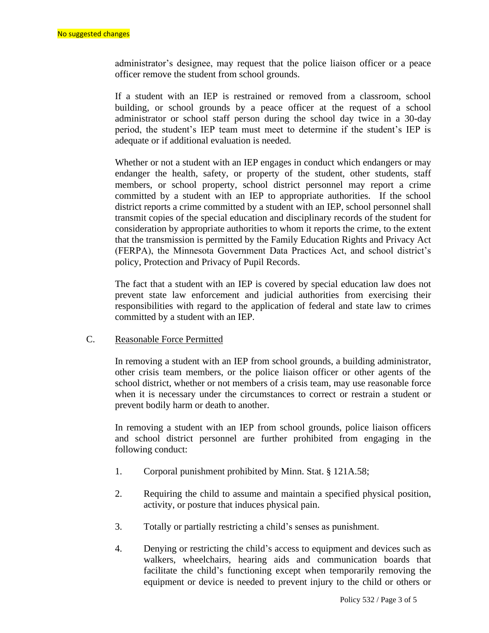administrator's designee, may request that the police liaison officer or a peace officer remove the student from school grounds.

If a student with an IEP is restrained or removed from a classroom, school building, or school grounds by a peace officer at the request of a school administrator or school staff person during the school day twice in a 30-day period, the student's IEP team must meet to determine if the student's IEP is adequate or if additional evaluation is needed.

Whether or not a student with an IEP engages in conduct which endangers or may endanger the health, safety, or property of the student, other students, staff members, or school property, school district personnel may report a crime committed by a student with an IEP to appropriate authorities. If the school district reports a crime committed by a student with an IEP, school personnel shall transmit copies of the special education and disciplinary records of the student for consideration by appropriate authorities to whom it reports the crime, to the extent that the transmission is permitted by the Family Education Rights and Privacy Act (FERPA), the Minnesota Government Data Practices Act, and school district's policy, Protection and Privacy of Pupil Records.

The fact that a student with an IEP is covered by special education law does not prevent state law enforcement and judicial authorities from exercising their responsibilities with regard to the application of federal and state law to crimes committed by a student with an IEP.

### C. Reasonable Force Permitted

In removing a student with an IEP from school grounds, a building administrator, other crisis team members, or the police liaison officer or other agents of the school district, whether or not members of a crisis team, may use reasonable force when it is necessary under the circumstances to correct or restrain a student or prevent bodily harm or death to another.

In removing a student with an IEP from school grounds, police liaison officers and school district personnel are further prohibited from engaging in the following conduct:

- 1. Corporal punishment prohibited by Minn. Stat. § 121A.58;
- 2. Requiring the child to assume and maintain a specified physical position, activity, or posture that induces physical pain.
- 3. Totally or partially restricting a child's senses as punishment.
- 4. Denying or restricting the child's access to equipment and devices such as walkers, wheelchairs, hearing aids and communication boards that facilitate the child's functioning except when temporarily removing the equipment or device is needed to prevent injury to the child or others or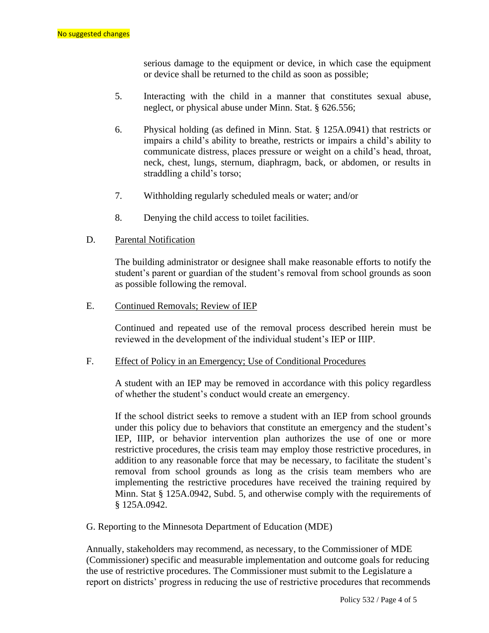serious damage to the equipment or device, in which case the equipment or device shall be returned to the child as soon as possible;

- 5. Interacting with the child in a manner that constitutes sexual abuse, neglect, or physical abuse under Minn. Stat. § 626.556;
- 6. Physical holding (as defined in Minn. Stat. § 125A.0941) that restricts or impairs a child's ability to breathe, restricts or impairs a child's ability to communicate distress, places pressure or weight on a child's head, throat, neck, chest, lungs, sternum, diaphragm, back, or abdomen, or results in straddling a child's torso;
- 7. Withholding regularly scheduled meals or water; and/or
- 8. Denying the child access to toilet facilities.
- D. Parental Notification

The building administrator or designee shall make reasonable efforts to notify the student's parent or guardian of the student's removal from school grounds as soon as possible following the removal.

E. Continued Removals; Review of IEP

Continued and repeated use of the removal process described herein must be reviewed in the development of the individual student's IEP or IIIP.

#### F. Effect of Policy in an Emergency; Use of Conditional Procedures

A student with an IEP may be removed in accordance with this policy regardless of whether the student's conduct would create an emergency.

If the school district seeks to remove a student with an IEP from school grounds under this policy due to behaviors that constitute an emergency and the student's IEP, IIIP, or behavior intervention plan authorizes the use of one or more restrictive procedures, the crisis team may employ those restrictive procedures, in addition to any reasonable force that may be necessary, to facilitate the student's removal from school grounds as long as the crisis team members who are implementing the restrictive procedures have received the training required by Minn. Stat § 125A.0942, Subd. 5, and otherwise comply with the requirements of § 125A.0942.

G. Reporting to the Minnesota Department of Education (MDE)

Annually, stakeholders may recommend, as necessary, to the Commissioner of MDE (Commissioner) specific and measurable implementation and outcome goals for reducing the use of restrictive procedures. The Commissioner must submit to the Legislature a report on districts' progress in reducing the use of restrictive procedures that recommends